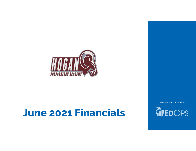

# June 2021 Financials

PREPARED JULY 2021 BY

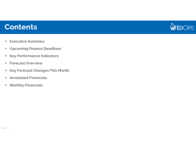## **Contents**



- $\textcolor{red}{\bullet}$  Executive Summary
- Upcoming Finance Deadlines
- $\blacksquare$ Key Performance Indicators
- Forecast Overview
- Key Forecast Changes This Month
- Annotated Financials
- $\blacksquare$ **Monthly Financials**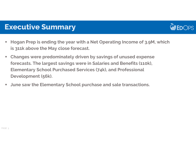

### Executive Summary

- $\mathcal{L}_{\mathcal{A}}$  Hogan Prep is ending the year with a Net Operating Income of 3.9M, which is 311k above the May close forecast.
- $\mathcal{L}_{\mathcal{A}}$  Changes were predominately driven by savings of unused expense forecasts. The largest savings were in Salaries and Benefits (110k), Elementary School Purchased Services (74k), and Professional Development (56k).
- $\overline{\phantom{a}}$ June saw the Elementary School purchase and sale transactions.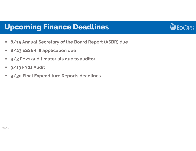## Upcoming Finance Deadlines



- $\overline{\phantom{a}}$ 8/15 Annual Secretary of the Board Report (ASBR) due
- $\mathcal{L}_{\mathcal{A}}$ 8/23 ESSER III application due
- $\mathcal{L}_{\mathcal{A}}$ 9/3 FY21 audit materials due to auditor
- $\mathcal{L}_{\mathcal{A}}$ 9/13 FY21 Audit
- $\mathbb{Z}^{\times}$ 9/30 Final Expenditure Reports deadlines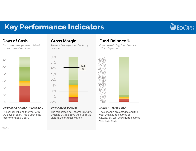## Key Performance Indicators



### Days of Cash

 Cash balance at year-end divided by average daily expenses



#### 170 DAYS OF CASH AT YEAR'S END

The school will end the year with 170 days of cash. This is above the recommended 60 days

### Gross Margin

 Revenue less expenses, divided by revenue



#### 20.8% GROSS MARGIN

 The forecasted net income is \$3.4m, which is \$3.9m above the budget. It yields a 20.8% gross margin.

### Fund Balance %

 Forecasted Ending Fund Balance / Total Expenses



#### 47.12% AT YEAR'S END

 The school is projected to end the year with a fund balance of \$6,028,581. Last year's fund balance was \$2,672,156.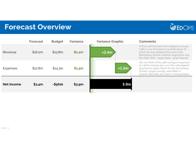## Forecast Overview



|                   | <b>Forecast</b> | <b>Budget</b> | <b>Variance</b> | <b>Variance Graphic</b> | <b>Comments</b>                                                                                 |
|-------------------|-----------------|---------------|-----------------|-------------------------|-------------------------------------------------------------------------------------------------|
| Revenue           | \$16.2m         | \$13.8m       | \$2.4m          | $+2.4m$                 | Of the 2.4M inc<br>2.3M is in an inc<br>which 1M was r<br><b>Elementary Scl</b><br>the SSKC MOU |
| <b>Expenses</b>   | \$12.8m         | \$14.3m       | \$1.5m          | $+1.5m$                 | We can think o<br>as 2.5M in savir<br>payment to Up<br>School. Larges<br>Salaries/Benef         |
| <b>Net Income</b> | \$3.4m          | $- $561k$     | \$3.9m          | 3.9 <sub>m</sub>        |                                                                                                 |

Of the 2.4M increase from budget to actuals, 2.3M is in an increase in Local Revenue, of which 1M was related to the sale of the Elementary School. Another large driver was the SSKC MOU. (+535k State; -473k Federal)

We can think of the 1.5M savings in expenses as 2.5M in savings less 1.0 in the unbudgeted payment to Upper Room for the Elementary School. Largest savings were 882k in Salaries/Benefits and 726k in Transportation.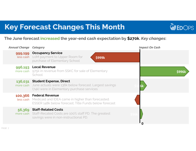## Key Forecast Changes This Month



### The June forecast <mark>increased</mark> the year-end cash expectation by \$<mark>270k</mark>. *Key changes*:

| <b>Annual Change Category</b> |                                                                                                                                                       | <b>Impact On Cash</b> |
|-------------------------------|-------------------------------------------------------------------------------------------------------------------------------------------------------|-----------------------|
| less cash                     | 999,199 Occupancy Service<br>1.0M payment to Upper Room for<br><b>\$999k</b><br>purchase of Elementary School                                         |                       |
| 996,193                       | <b>Local Revenue</b><br>more cash 975k in revenue from SSKC for sale of Elementary<br>School                                                          | \$996k                |
| 136,031                       | <b>Student Expense, Direct</b><br>more cash June actuals were 136k below forecast. Largest savings<br>(74k) were in Elementary purchase services      |                       |
| 100,366                       | <b>Federal Revenue</b><br><b>Less cash</b> Medicaid and IDEA came in higher than forecasted.<br>ESSER 148k below forecast; Title Funds below forecast |                       |
| 56,369                        | <b>Staff-Related Costs</b><br>more cash Staff-Recated Costs are 100% staff PD. The greatest<br>savings were in non-instructional PD.                  |                       |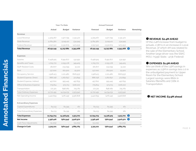|                                     |            | Year-To-Date  |            |            | <b>Annual Forecast</b> |             |                  |
|-------------------------------------|------------|---------------|------------|------------|------------------------|-------------|------------------|
|                                     | Actual     | <b>Budget</b> | Variance   | Forecast   | <b>Budget</b>          | Variance    | <b>Remaining</b> |
| Revenue                             |            |               |            |            |                        |             |                  |
| Local Revenue                       | 4,309,267  | 1,977,795     | 2,331,472  | 4,309,267  | 1,977,795              | 2,331,472   |                  |
| <b>State Revenue</b>                | 9,784,360  | 9,249,411     | 534,949    | 9,784,360  | 9,249,411              | 534,949     |                  |
| <b>Federal Revenue</b>              | 2,057,522  | 2,530,675     | (473, 153) | 2,057,522  | 2,530,675              | (473, 153)  |                  |
| <b>Total Revenue</b>                | 16,151,149 | 13,757,881    | 2,393,268  | 16,151,149 | 13,757,881             | 2,393,268   |                  |
|                                     |            |               |            |            |                        |             |                  |
| <b>Expenses</b>                     |            |               |            |            |                        |             |                  |
| Salaries                            | 6,458,925  | 6,991,877     | 532,952    | 6,458,925  | 6,991,877              | 532,952     |                  |
| <b>Benefits and Taxes</b>           | 1,705,772  | 2,055,178     | 349,405    | 1,705,772  | 2,055,178              | 349,405     |                  |
| <b>Staff-Related Costs</b>          | 181,877    | 233,099       | 51,222     | 181,877    | 233,099                | 51,222      |                  |
| Rent                                | 137,000    | 162,500       | 25,500     | 137,000    | 162,500                | 25,500      |                  |
| Occupancy Service                   | 1,928,413  | 1,101,480     | (826,933)  | 1,928,413  | 1,101,480              | (826,933)   |                  |
| Student Expense, Direct             | 888,758    | 1,262,657     | 373,899    | 888,758    | 1,262,657              | 373,899     |                  |
| Student Expense, Indirect           | 457,610    | 955,445       | 497,835    | 457,610    | 955,445                | 497,835     |                  |
| Office & Business Expense           | 779,814    | 573,713       | (206, 101) | 779,814    | 573,713                | (206, 101)  |                  |
| Transportation                      | 172,321    | 898,082       | 725,761    | 172,321    | 898,082                | 725,761     |                  |
| Total Ordinary Expenses             | 12,710,491 | 14,234,031    | 1,523,540  | 12,710,491 | 14,234,031             | 1,523,540   |                  |
| Net Operating Income                | 3,440,659  | (476, 149)    | 3,916,808  | 3,440,659  | (476, 149)             | 3,916,808   |                  |
| <b>Extraordinary Expenses</b>       |            |               |            |            |                        |             |                  |
| Captial Expenditures                | 84,233     | 84,395        | 161        | 84,233     | 84,395                 | 161         |                  |
| <b>Total Extraordinary Expenses</b> | 84,233     | 84,395        | 161        | 84,233     | 84,395                 | 161         |                  |
| <b>Total Expenses</b>               | 12,794,724 | 14,318,425    | 1,523,701  | 12,794,724 | 14,318,425             | 1,523,701 2 |                  |
| <b>Net Income</b>                   | 3,356,426  | (560,544)     | 3,916,970  | 3,356,426  | (560,544)              | 3,916,970   | 8                |
| Cash Flow Adjustments               | (31,205)   |               | (31, 205)  | (31,205)   |                        | (31,205)    |                  |
| Change in Cash                      | 3,325,221  | (560, 544)    | 3,885,765  | 3,325,221  | (560, 544)             | 3,885,765   |                  |

#### REVENUE: \$2.4M AHEAD

**O REVENUE: \$2.4M AHEAD**<br>Of the 2.4M increase from budget to actuals, 2.3M is in an increase in Local Revenue, of which 1M was related to the sale of the Elementary School. Another large driver was the SSKC MOU. (+535k State; -473k Federal)

### **@ EXPENSES: \$1.5M AHEAD**<br>We can think of the 1.5M savir

We can think of the 1.5M savings in expenses as 2.5M in savings less 1.0 in the unbudgeted payment to Upper Room for the Elementary School. Largest savings were 882k in Salaries/Benefits and 726k in Transportation.

### **O** NET INCOME: \$3.9M ahead

PAGE <sup>8</sup>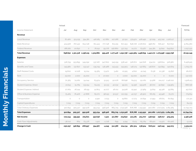|                                | Actual     |         |                             |           |          |         |                   |         |                                                                               |         |                             |                             | Forecast            |
|--------------------------------|------------|---------|-----------------------------|-----------|----------|---------|-------------------|---------|-------------------------------------------------------------------------------|---------|-----------------------------|-----------------------------|---------------------|
| Income Statement               | Jul        | Aug     | Sep                         | Oct       | Nov      | Dec     | Jan               | Feb     | Mar                                                                           | Apr     | May                         | Jun                         | <b>TOTAL</b>        |
| Revenue                        |            |         |                             |           |          |         |                   |         |                                                                               |         |                             |                             |                     |
| Local Revenue                  | 87,460     | 513,235 | 354,381                     | 416,185   | 117,882  | 107,266 | 97,512            | 579,971 | 408,490                                                                       | 97,029  | 423,740                     | 1,106,117                   | 4,309,267           |
| <b>State Revenue</b>           | 424,908    | 767,432 | 843,748                     | 811,443   | 777,748  | 813,291 | 817,453           |         | 848,726 1,026,602                                                             | 998,762 | 816,417                     | 837,830                     | 9,784,360           |
| <b>Federal Revenue</b>         | 186.282    | 20,650  | $\circ$                     | 78,252    | 59,776   | 256,860 | 337,793           | 24,272  | 63,567                                                                        | 344,381 | 35,840                      | 649,850                     | 2,057,522           |
| <b>Total Revenue</b>           |            |         | 698,650 1,301,318 1,198,129 | 1,305,880 |          |         |                   |         | 955,406 1,177,416 1,252,758 1,452,969 1,498,659 1,440,172 1,275,996 2,593,798 |         |                             |                             | 16,151,149          |
| <b>Expenses</b>                |            |         |                             |           |          |         |                   |         |                                                                               |         |                             |                             |                     |
| <b>Salaries</b>                | 518,759    | 553,895 | 549,092                     | 537,187   | 547,600  | 545,159 | 538,140           | 526,872 | 542,626                                                                       | 534,011 | 538,604                     | 526,980                     | 6,458,925           |
| <b>Benefits and Taxes</b>      | 145,980    | 137,827 | 133,147                     | 139,749   | 136,488  | 143,433 | 144,903           | 146,174 | 147,663                                                                       | 146,670 | 142,859                     | 140,879                     | 1,705,772           |
| <b>Staff-Related Costs</b>     | 19,600     | 12,108  | 15,024                      | 19,365    | 13,470   | 3,462   | 10,915            | 4,600   | 41,045                                                                        | 6,136   | 10,338                      | 25,816                      | 181,877             |
| Rent                           | 25,000     | 2,000   | 25,000                      | $\circ$   | 27,000   | $\circ$ | 2,000             | 25,000  | 25,000                                                                        | $\circ$ | $\circ$                     | 6.000                       | 137,000             |
| Occupancy Service              | 70,365     | 74,062  | 54,044                      | 63,974    | 51,913   | 50,076  | 66,698            | 64,513  | 131,061                                                                       | 51,568  |                             | 104,117 1,146,022           | 1,928,413           |
| Student Expense, Direct        | 21,643     | 15,765  | 133,154                     | 64,125    | 32,133   | 40,032  | 99,021            | 19,356  | 193,976                                                                       | 38,700  | 90,890                      | 139,963                     | 888,758             |
| Student Expense, Indirect      | 27,064     | 26,244  | 28,159                      | 51,803    | 41,077   | 46,011  | 34,508            | 25,942  | 37,969                                                                        | 33,819  | 49,328                      | 55,685                      | 457,610             |
| Office & Business Expense      | 75,465     | 76,406  | 47,868                      | 65,071    | 98,193   | 30,537  | 110,055           | 42,037  | 46,900                                                                        | 66,165  | 45,948                      | 75,170                      | 779,814             |
| Transportation                 | $\circ$    | $\circ$ | $\circ$                     | 4,940     | 2,033    | $\circ$ | 19,660            | 17,273  | 20,694                                                                        | 17,993  | 28,875                      | 60,855                      | 172,321             |
| Captial Expenditures           | 7,019      | 7,019   | 7,019                       | 7,019     | 7,019    | 7,019   | 7,019             | 7,019   | 7,019                                                                         | 7,019   | 7,019                       | 7,019                       | 84,233              |
| <b>Total Ordinary Expenses</b> | 910,894    | 905,327 | 992,508                     | 953,234   | 956,926  |         | 865,729 1,032,918 |         | 878,788 1,193,952                                                             |         |                             | 902,080 1,017,979 2,184,389 | 12,794,724          |
| <b>Total Expenses</b>          | 910,894    | 905,327 | 992,508                     | 953,234   | 956,926  |         | 865,729 1,032,918 |         | 878,788 1,193,952                                                             |         | 902,080 1,017,979 2,184,389 |                             | 12,794,724          |
| Net Income                     | $-212,244$ | 395,991 | 205,621                     | 352,646   | $-1,521$ | 311,687 | 219,840           | 574,181 | 304,707                                                                       | 538,092 | 258,017                     | 409,409                     | 3,356,426           |
| Cash Flow Adjustments          | $-38,012$  | 864     | 63,376                      | 1,922     | $-2,728$ | 699     | 4,294             | 8,123   | $-65,784$                                                                     | 68,420  | $-11,972$                   | $-60,406$                   | $-31,205$           |
| Change in Cash                 | -250,257   | 396,855 | 268,997                     | 354,567   | $-4,249$ | 312,386 | 224,134           | 582,304 | 238,924                                                                       | 606,512 | 246,045                     | 349,003                     | 3,325,221<br>PAGE 9 |